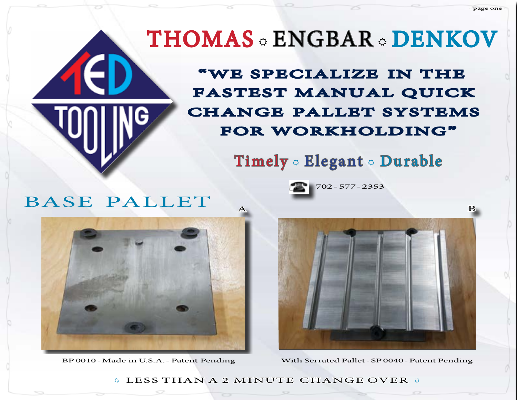# THOMAS & ENGBAR & DENKOV

FASTEST MANUAL QUICK CHANGE PALLET SYSTEMS "WE SPECIALIZE IN THE FOR WORKHOLDING"

Timely & Elegant & Durable

702-577-2353

## BASE PALLET





~ page one ~

BP 0010-Made inU.S.A.-Patent Pending With Serrated Pallet-SP0040-Patent Pending

 $\circ$  LESS THAN A 2 MINUTE CHANGE OVER  $\circ$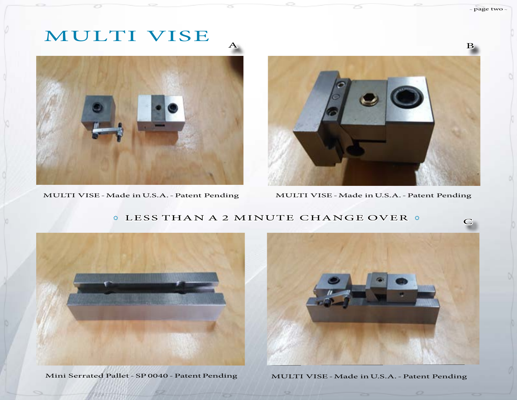### MULTI VISE



MULTI VISE - Made in U.S.A. - Patent Pending



z5

MULTI VISE - Made in U.S.A. - Patent Pending

#### **CLESS THAN A 2 MINUTE CHANGE OVER C**

ZS.



Mini Serrated Pallet - SP 0040 - Patent Pending

 $\sim$ 



MULTI VISE-Made inU.S.A.-Patent Pending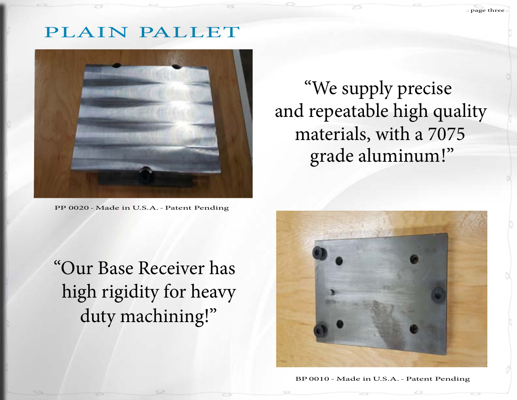## PLAIN PALLET



PP 0020 - Made in U.S.A. - Patent Pending

 "We supply precise and repeatable high quality materials, with a 7075 grade aluminum!"

"Our Base Receiver has high rigidity for heavy duty machining!"



BP 0010 - Made in U.S.A. - Patent Pending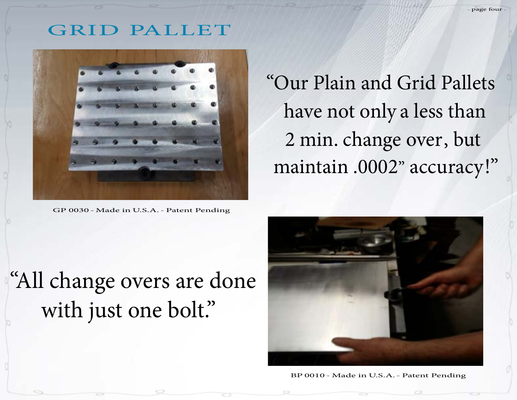#### GRID PALLET



GP 0030 - Made in U.S.A. - Patent Pending

"Our Plain and Grid Pallets have not only a less than 2 min. change over, but maintain .0002" accuracy!"

# "All change overs are done with just one bolt."



BP 0010 - Made in U.S.A. - Patent Pending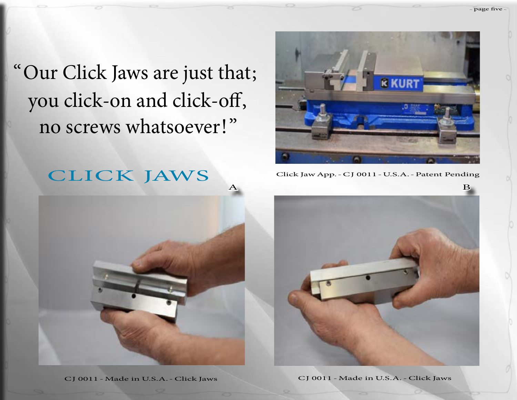["Our Click Jaws are just that;](mailto:tedtooling%40gmail.com?subject=brouchure%201) you click-on and click-off, no screws whatsoever!"





 $\sim$  page five  $\sim$ 



CJ 0011 -Made in U.S.A.-Click Jaws CJ 0011 -Made in U.S.A.-Click Jaws